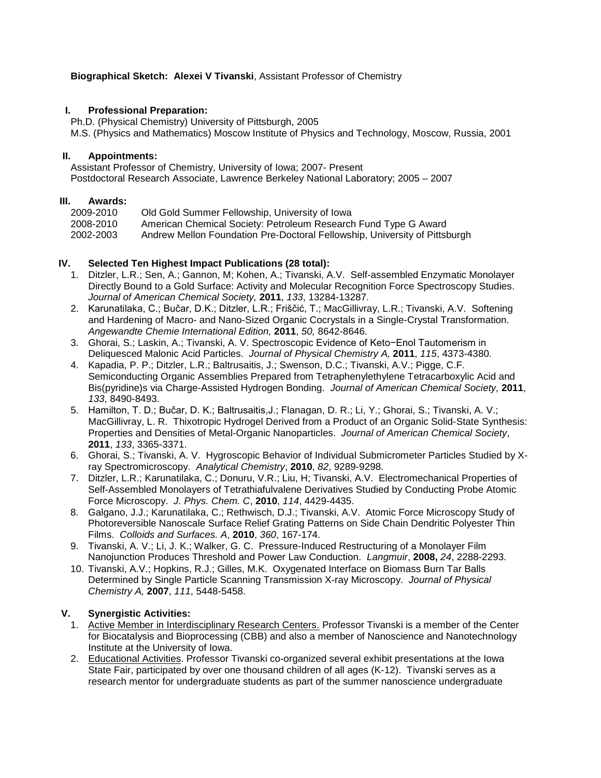# **Biographical Sketch: Alexei V Tivanski**, Assistant Professor of Chemistry

#### **I. Professional Preparation:**

Ph.D. (Physical Chemistry) University of Pittsburgh, 2005 M.S. (Physics and Mathematics) Moscow Institute of Physics and Technology, Moscow, Russia, 2001

#### **II. Appointments:**

Assistant Professor of Chemistry, University of Iowa; 2007- Present Postdoctoral Research Associate, Lawrence Berkeley National Laboratory; 2005 – 2007

#### **III. Awards:**

| 2009-2010 | Old Gold Summer Fellowship, University of Iowa                             |
|-----------|----------------------------------------------------------------------------|
| 2008-2010 | American Chemical Society: Petroleum Research Fund Type G Award            |
| 2002-2003 | Andrew Mellon Foundation Pre-Doctoral Fellowship, University of Pittsburgh |

## **IV. Selected Ten Highest Impact Publications (28 total):**

- 1. Ditzler, L.R.; Sen, A.; Gannon, M; Kohen, A.; Tivanski, A.V. Self-assembled Enzymatic Monolayer Directly Bound to a Gold Surface: Activity and Molecular Recognition Force Spectroscopy Studies. *Journal of American Chemical Society,* **2011**, *133*, 13284-13287.
- 2. Karunatilaka, C.; Bučar, D.K.; Ditzler, L.R.; Friščić, T.; MacGillivray, L.R.; Tivanski, A.V. Softening and Hardening of Macro- and Nano-Sized Organic Cocrystals in a Single-Crystal Transformation. *Angewandte Chemie International Edition,* **2011**, *50,* 8642-8646.
- 3. Ghorai, S.; Laskin, A.; Tivanski, A. V. Spectroscopic Evidence of Keto−Enol Tautomerism in Deliquesced Malonic Acid Particles. *Journal of Physical Chemistry A,* **2011**, *115*, 4373-4380.
- 4. Kapadia, P. P.; Ditzler, L.R.; Baltrusaitis, J.; Swenson, D.C.; Tivanski, A.V.; Pigge, C.F. Semiconducting Organic Assemblies Prepared from Tetraphenylethylene Tetracarboxylic Acid and Bis(pyridine)s via Charge-Assisted Hydrogen Bonding. *Journal of American Chemical Society,* **2011**, *133*, 8490-8493.
- 5. Hamilton, T. D.; Bučar, D. K.; Baltrusaitis,J.; Flanagan, D. R.; Li, Y.; Ghorai, S.; Tivanski, A. V.; MacGillivray, L. R. Thixotropic Hydrogel Derived from a Product of an Organic Solid-State Synthesis: Properties and Densities of Metal-Organic Nanoparticles. *Journal of American Chemical Society*, **2011**, *133*, 3365-3371.
- 6. Ghorai, S.; Tivanski, A. V. Hygroscopic Behavior of Individual Submicrometer Particles Studied by Xray Spectromicroscopy. *Analytical Chemistry*, **2010**, *82*, 9289-9298.
- 7. Ditzler, L.R.; Karunatilaka, C.; Donuru, V.R.; Liu, H; Tivanski, A.V. Electromechanical Properties of Self-Assembled Monolayers of Tetrathiafulvalene Derivatives Studied by Conducting Probe Atomic Force Microscopy. *J. Phys. Chem. C*, **2010**, *114*, 4429-4435.
- 8. Galgano, J.J.; Karunatilaka, C.; Rethwisch, D.J.; Tivanski, A.V. Atomic Force Microscopy Study of Photoreversible Nanoscale Surface Relief Grating Patterns on Side Chain Dendritic Polyester Thin Films. *Colloids and Surfaces. A*, **2010**, *360*, 167-174.
- 9. Tivanski, A. V.; Li, J. K.; Walker, G. C. Pressure-Induced Restructuring of a Monolayer Film Nanojunction Produces Threshold and Power Law Conduction. *Langmuir*, **2008,** *24*, 2288-2293.
- 10. Tivanski, A.V.; Hopkins, R.J.; Gilles, M.K. Oxygenated Interface on Biomass Burn Tar Balls Determined by Single Particle Scanning Transmission X-ray Microscopy. *Journal of Physical Chemistry A,* **2007**, *111*, 5448-5458.

## **V. Synergistic Activities:**

- 1. Active Member in Interdisciplinary Research Centers. Professor Tivanski is a member of the Center for Biocatalysis and Bioprocessing (CBB) and also a member of Nanoscience and Nanotechnology Institute at the University of Iowa.
- 2. Educational Activities. Professor Tivanski co-organized several exhibit presentations at the Iowa State Fair, participated by over one thousand children of all ages (K-12). Tivanski serves as a research mentor for undergraduate students as part of the summer nanoscience undergraduate